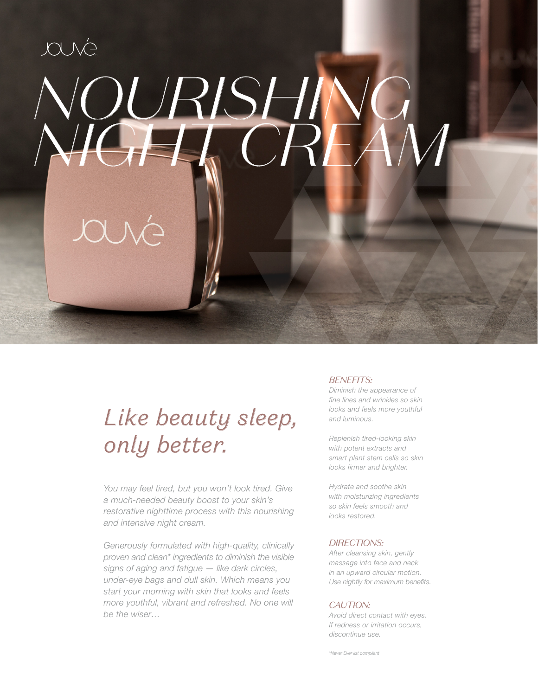## JOUNG *NOURISHING NIGHT CREAM*

## *Like beauty sleep, only better.*

*You may feel tired, but you won't look tired. Give a much-needed beauty boost to your skin's restorative nighttime process with this nourishing and intensive night cream.* 

*Generously formulated with high-quality, clinically proven and clean\* ingredients to diminish the visible signs of aging and fatigue — like dark circles, under-eye bags and dull skin. Which means you start your morning with skin that looks and feels more youthful, vibrant and refreshed. No one will be the wiser…*

### *BENEFITS:*

*Diminish the appearance of fine lines and wrinkles so skin looks and feels more youthful and luminous.*

*Replenish tired-looking skin with potent extracts and smart plant stem cells so skin looks firmer and brighter.* 

*Hydrate and soothe skin with moisturizing ingredients so skin feels smooth and looks restored.*

### *DIRECTIONS:*

*After cleansing skin, gently massage into face and neck in an upward circular motion. Use nightly for maximum benefits.*

### *CAUTION:*

*Avoid direct contact with eyes. If redness or irritation occurs, discontinue use.*

*\*Never Ever list compliant*